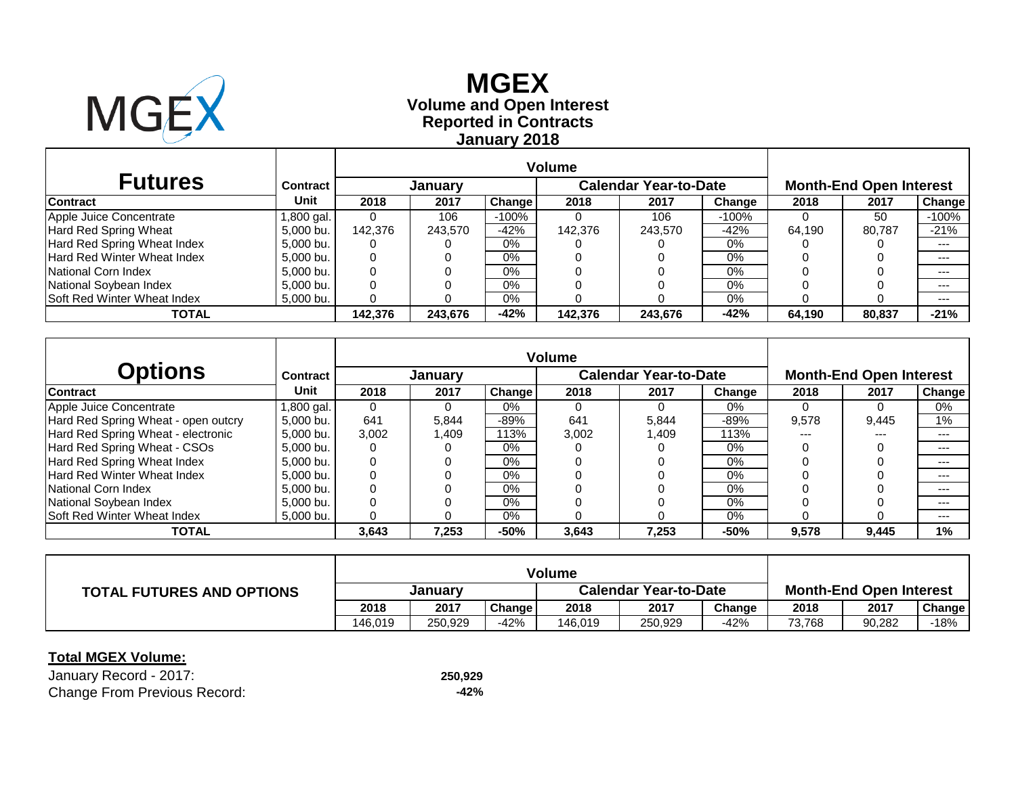

# **Reported in Contracts Volume and Open Interest MGEX January 2018**

| <b>Futures</b>                     | <b>Contract</b> |         | <b>January</b> |         |         | <b>Calendar Year-to-Date</b> |         | <b>Month-End Open Interest</b> |        |         |  |
|------------------------------------|-----------------|---------|----------------|---------|---------|------------------------------|---------|--------------------------------|--------|---------|--|
| <b>Contract</b>                    | Unit            | 2018    | 2017           | Change  | 2018    | 2017                         | Change  | 2018                           | 2017   | Change  |  |
| Apple Juice Concentrate            | 1,800 gal.      | 0       | 106            | $-100%$ |         | 106                          | $-100%$ |                                | 50     | $-100%$ |  |
| Hard Red Spring Wheat              | 5,000 bu.       | 142.376 | 243.570        | $-42%$  | 142.376 | 243.570                      | $-42%$  | 64.190                         | 80.787 | $-21%$  |  |
| Hard Red Spring Wheat Index        | 5,000 bu.       | 0       |                | $0\%$   |         |                              | $0\%$   |                                |        | ---     |  |
| Hard Red Winter Wheat Index        | 5,000 bu.       | 0       |                | 0%      |         |                              | 0%      |                                |        | $--$    |  |
| National Corn Index                | 5.000 bu.       | 0       |                | $0\%$   |         |                              | $0\%$   |                                |        | $- - -$ |  |
| National Soybean Index             | 5,000 bu.       | 0       |                | 0%      |         |                              | 0%      |                                |        | $- - -$ |  |
| <b>Soft Red Winter Wheat Index</b> | $5,000$ bu.     | 0       |                | $0\%$   |         |                              | $0\%$   |                                |        | $--$    |  |
| <b>TOTAL</b>                       |                 | 142.376 | 243.676        | $-42%$  | 142,376 | 243,676                      | -42%    | 64.190                         | 80,837 | $-21%$  |  |

| <b>Options</b>                      | <b>Contract</b> |       | January |                    |       | <b>Calendar Year-to-Date</b> |        | <b>Month-End Open Interest</b> |       |               |  |
|-------------------------------------|-----------------|-------|---------|--------------------|-------|------------------------------|--------|--------------------------------|-------|---------------|--|
| <b>Contract</b>                     | Unit            | 2018  | 2017    | <b>Change</b>      | 2018  | 2017                         | Change | 2018                           | 2017  | <b>Change</b> |  |
| Apple Juice Concentrate             | l.800 gal. I    |       |         | $0\%$              |       |                              | $0\%$  |                                |       | 0%            |  |
| Hard Red Spring Wheat - open outcry | 5.000 bu.       | 641   | 5,844   | $-89%$             | 641   | 5.844                        | $-89%$ | 9,578                          | 9,445 | 1%            |  |
| Hard Red Spring Wheat - electronic  | 5.000 bu.       | 3,002 | 409. ا  | $113\overline{\%}$ | 3,002 | 1.409                        | 113%   | ---                            | $---$ | ---           |  |
| Hard Red Spring Wheat - CSOs        | 5.000 bu.       | 0     |         | $0\%$              |       |                              | $0\%$  |                                |       | $---$         |  |
| Hard Red Spring Wheat Index         | 5.000 bu.       |       |         | $0\%$              |       |                              | $0\%$  |                                |       | $---$         |  |
| Hard Red Winter Wheat Index         | 5,000 bu.       |       |         | $0\%$              |       |                              | $0\%$  |                                |       | ---           |  |
| National Corn Index                 | 5.000 bu.       |       |         | $0\%$              |       |                              | $0\%$  |                                |       | $---$         |  |
| National Soybean Index              | 5.000 bu.       |       |         | $0\%$              |       |                              | $0\%$  |                                |       | $---$         |  |
| Soft Red Winter Wheat Index         | 5.000 bu.       |       |         | 0%                 |       |                              | 0%     |                                |       | $---$         |  |
| <b>TOTAL</b>                        |                 | 3,643 | 7,253   | $-50%$             | 3,643 | 7.253                        | $-50%$ | 9,578                          | 9,445 | $1\%$         |  |

| <b>TOTAL FUTURES AND OPTIONS</b> | Januarv |         |        | <b>Calendar Year-to-Date</b> |         |        | <b>Month-End Open Interest</b> |        |               |  |
|----------------------------------|---------|---------|--------|------------------------------|---------|--------|--------------------------------|--------|---------------|--|
|                                  | 2018    | 2017    | Change | 2018                         | 2017    | Change | 2018                           | 2017   | <b>Change</b> |  |
|                                  | 146.019 | 250.929 | $-42%$ | 146.019                      | 250,929 | $-42%$ | 73,768                         | 90,282 | $-18%$        |  |

### **Total MGEX Volume:**

January Record - 2017: **250,929** Change From Previous Record: **-42%**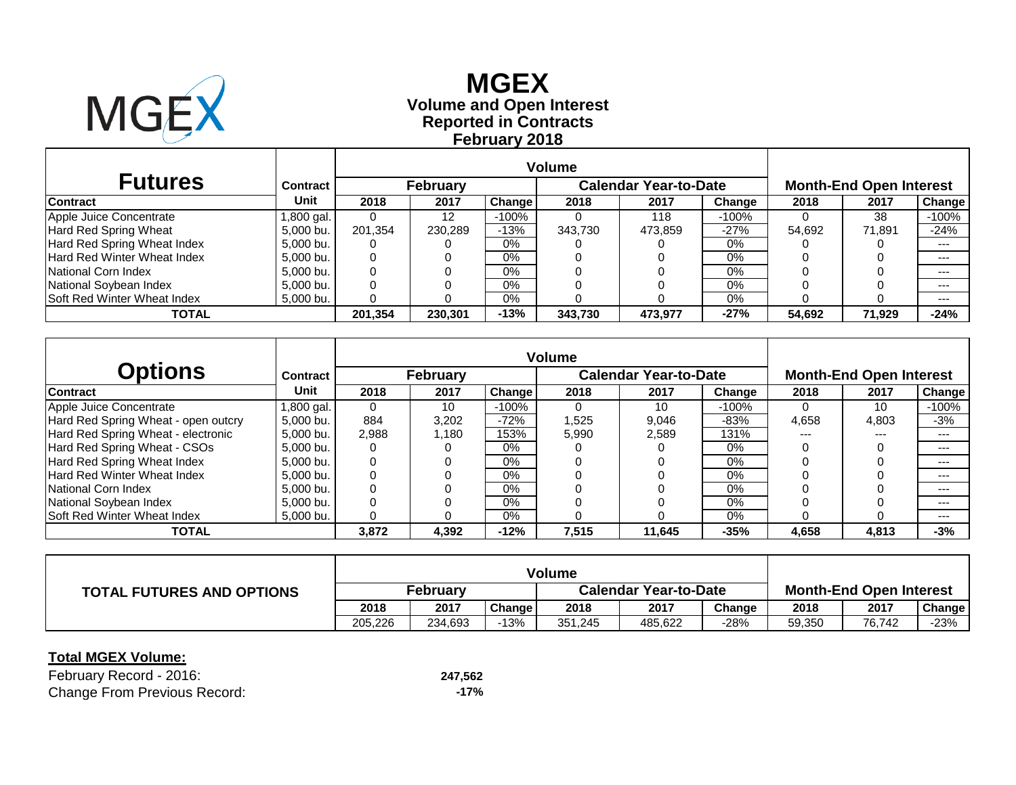

# **Reported in Contracts Volume and Open Interest MGEX February 2018**

| <b>Futures</b>                     | <b>Contract</b> |          | <b>February</b> |         |         | <b>Calendar Year-to-Date</b> |         | <b>Month-End Open Interest</b> |        |               |  |
|------------------------------------|-----------------|----------|-----------------|---------|---------|------------------------------|---------|--------------------------------|--------|---------------|--|
| <b>Contract</b>                    | Unit            | 2018     | 2017            | Change  | 2018    | 2017                         | Change  | 2018                           | 2017   | <b>Change</b> |  |
| Apple Juice Concentrate            | l,800 gal.      |          | 12              | $-100%$ |         | 118                          | $-100%$ |                                | 38     | $-100%$       |  |
| <b>Hard Red Spring Wheat</b>       | 5,000 bu.       | 201.354  | 230.289         | $-13%$  | 343.730 | 473.859                      | $-27%$  | 54.692                         | 71,891 | $-24%$        |  |
| Hard Red Spring Wheat Index        | 5,000 bu.       | O        |                 | $0\%$   |         |                              | 0%      |                                |        | $---$         |  |
| Hard Red Winter Wheat Index        | 5.000 bu.       | 0        |                 | 0%      |         |                              | 0%      |                                |        | $--$          |  |
| National Corn Index                | 5.000 bu.       | 0        |                 | $0\%$   |         |                              | $0\%$   |                                |        | $- - -$       |  |
| National Soybean Index             | 5.000 bu.       | 0        |                 | $0\%$   |         |                              | 0%      |                                |        | $---$         |  |
| <b>Soft Red Winter Wheat Index</b> | $5,000$ bu.     | $\Omega$ |                 | 0%      |         |                              | 0%      |                                |        | $---$         |  |
| TOTAL                              |                 | 201,354  | 230,301         | $-13%$  | 343,730 | 473,977                      | $-27%$  | 54.692                         | 71,929 | $-24%$        |  |

| <b>Options</b>                      | Contract     |       | February |               |       | <b>Calendar Year-to-Date</b> |          | <b>Month-End Open Interest</b> |       |               |  |
|-------------------------------------|--------------|-------|----------|---------------|-------|------------------------------|----------|--------------------------------|-------|---------------|--|
| <b>Contract</b>                     | Unit         | 2018  | 2017     | <b>Change</b> | 2018  | 2017                         | Change   | 2018                           | 2017  | <b>Change</b> |  |
| Apple Juice Concentrate             | l.800 gal. I |       | 10       | $-100\%$      |       | 10                           | $-100\%$ |                                | 10    | $-100%$       |  |
| Hard Red Spring Wheat - open outcry | 5.000 bu.    | 884   | 3,202    | $-72%$        | 1,525 | 9.046                        | $-83%$   | 4,658                          | 4,803 | $-3%$         |  |
| Hard Red Spring Wheat - electronic  | 5.000 bu.    | 2,988 | 1.180    | 153%          | 5,990 | 2,589                        | 131%     | ---                            | $---$ | $---$         |  |
| Hard Red Spring Wheat - CSOs        | 5.000 bu.    | 0     |          | $0\%$         |       |                              | $0\%$    |                                |       | $---$         |  |
| Hard Red Spring Wheat Index         | 5.000 bu.    |       |          | $0\%$         |       |                              | $0\%$    |                                |       | $---$         |  |
| <b>Hard Red Winter Wheat Index</b>  | 5.000 bu.    |       |          | $0\%$         |       |                              | $0\%$    |                                |       | $---$         |  |
| National Corn Index                 | 5.000 bu.    |       |          | $0\%$         |       |                              | $0\%$    |                                |       | $---$         |  |
| National Soybean Index              | 5.000 bu.    |       |          | $0\%$         |       |                              | 0%       |                                |       | $---$         |  |
| <b>Soft Red Winter Wheat Index</b>  | 5.000 bu.    |       |          | $0\%$         |       |                              | 0%       |                                |       | ---           |  |
| <b>TOTAL</b>                        |              | 3,872 | 4,392    | $-12%$        | 7,515 | 11,645                       | $-35%$   | 4,658                          | 4,813 | $-3%$         |  |

| <b>TOTAL FUTURES AND OPTIONS</b> | February |         |        | <b>Calendar Year-to-Date</b> |         |        | <b>Month-End Open Interest</b> |        |               |  |
|----------------------------------|----------|---------|--------|------------------------------|---------|--------|--------------------------------|--------|---------------|--|
|                                  | 2018     | 2017    | Change | 2018                         | 2017    | Change | 2018                           | 2017   | <b>Change</b> |  |
|                                  | 205.226  | 234,693 | -13%   | 351.245                      | 485.622 | -28%   | 59,350                         | 76.742 | $-23%$        |  |

### **Total MGEX Volume:**

February Record - 2016: **247,562 Change From Previous Record:**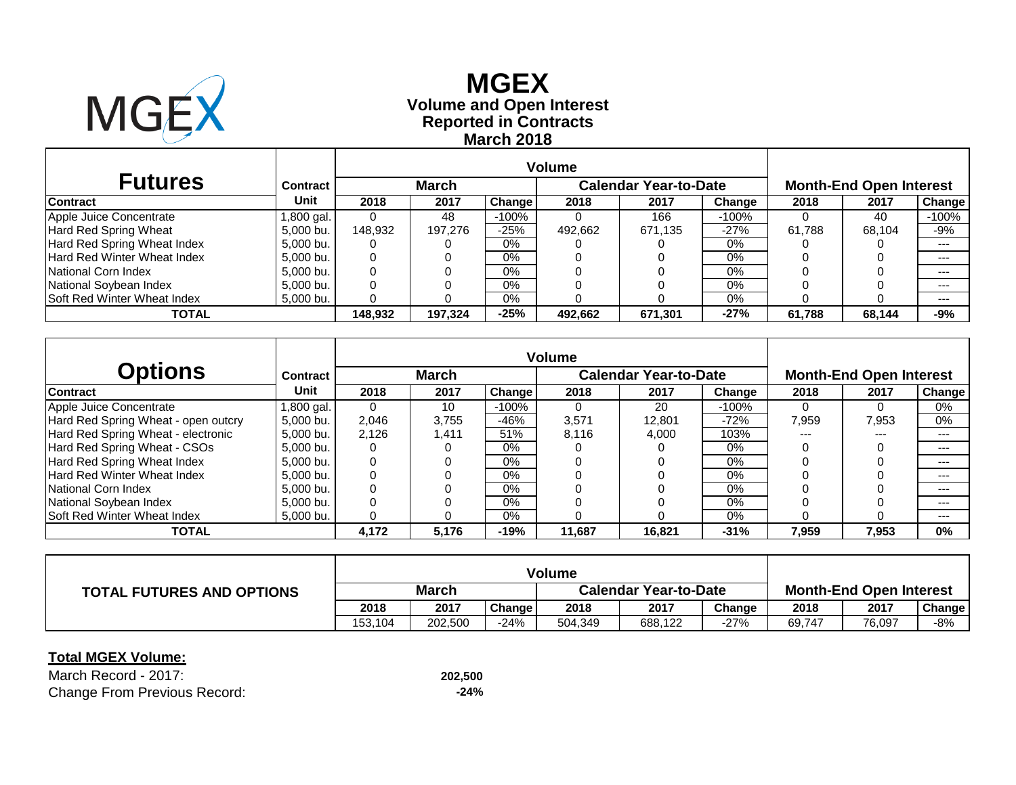

# **Reported in Contracts Volume and Open Interest MGEX March 2018**

| <b>Futures</b>                     | <b>Contract</b> |          | <b>March</b> |               |         | <b>Calendar Year-to-Date</b> |          | <b>Month-End Open Interest</b> |        |         |  |
|------------------------------------|-----------------|----------|--------------|---------------|---------|------------------------------|----------|--------------------------------|--------|---------|--|
| <b>Contract</b>                    | Unit            | 2018     | 2017         | <b>Change</b> | 2018    | 2017                         | Change   | 2018                           | 2017   | Change  |  |
| Apple Juice Concentrate            | 1,800 gal.      |          | 48           | $-100%$       |         | 166                          | $-100\%$ |                                | 40     | $-100%$ |  |
| <b>Hard Red Spring Wheat</b>       | 5,000 bu.       | 148.932  | 197.276      | $-25%$        | 492.662 | 671,135                      | $-27%$   | 61.788                         | 68.104 | -9%     |  |
| Hard Red Spring Wheat Index        | 5,000 bu.       | O        |              | 0%            |         |                              | 0%       |                                |        | $---$   |  |
| <b>Hard Red Winter Wheat Index</b> | 5,000 bu.       | $\left($ |              | 0%            |         |                              | 0%       |                                |        | $--$    |  |
| <b>National Corn Index</b>         | 5,000 bu.       | 0        |              | $0\%$         |         |                              | $0\%$    |                                |        | $- - -$ |  |
| National Soybean Index             | 5,000 bu.       | 0        |              | 0%            |         |                              | $0\%$    |                                |        | $--$    |  |
| <b>Soft Red Winter Wheat Index</b> | 5,000 bu.       |          |              | 0%            |         |                              | 0%       |                                |        | $--$    |  |
| TOTAL                              |                 | 148.932  | 197,324      | $-25%$        | 492.662 | 671,301                      | $-27%$   | 61.788                         | 68,144 | -9%     |  |

| <b>Options</b>                      | Contract            |       | <b>March</b> |          |        | <b>Calendar Year-to-Date</b> |          | <b>Month-End Open Interest</b> |       |               |  |
|-------------------------------------|---------------------|-------|--------------|----------|--------|------------------------------|----------|--------------------------------|-------|---------------|--|
| <b>Contract</b>                     | Unit                | 2018  | 2017         | Change I | 2018   | 2017                         | Change   | 2018                           | 2017  | <b>Change</b> |  |
| Apple Juice Concentrate             | 1,800 gal. <b> </b> |       | 10           | $-100\%$ |        | 20                           | $-100\%$ | 0                              |       | $0\%$         |  |
| Hard Red Spring Wheat - open outcry | 5.000 bu.           | 2.046 | 3.755        | -46%     | 3,571  | 12.801                       | $-72%$   | 7,959                          | 7,953 | $0\%$         |  |
| Hard Red Spring Wheat - electronic  | 5.000 bu.           | 2.126 | 1,411        | 51%      | 8,116  | 4,000                        | 103%     | ---                            | $---$ | $---$         |  |
| Hard Red Spring Wheat - CSOs        | 5.000 bu.           | 0     |              | $0\%$    |        |                              | $0\%$    |                                |       | $---$         |  |
| Hard Red Spring Wheat Index         | 5.000 bu.           |       |              | $0\%$    |        |                              | $0\%$    |                                |       | $---$         |  |
| <b>Hard Red Winter Wheat Index</b>  | 5.000 bu.           |       |              | $0\%$    |        |                              | $0\%$    |                                |       | $---$         |  |
| National Corn Index                 | 5.000 bu.           |       |              | $0\%$    |        |                              | $0\%$    |                                |       | $---$         |  |
| National Soybean Index              | 5.000 bu.           |       |              | $0\%$    |        |                              | 0%       |                                |       | $---$         |  |
| <b>Soft Red Winter Wheat Index</b>  | 5.000 bu.           |       |              | $0\%$    |        |                              | 0%       |                                |       | ---           |  |
| <b>TOTAL</b>                        |                     | 4,172 | 5,176        | $-19%$   | 11.687 | 16.821                       | $-31%$   | 7,959                          | 7,953 | 0%            |  |

| <b>TOTAL FUTURES AND OPTIONS</b> | <b>March</b> |         |        | <b>Calendar Year-to-Date</b> |         |        | <b>Month-End Open Interest</b> |        |        |  |
|----------------------------------|--------------|---------|--------|------------------------------|---------|--------|--------------------------------|--------|--------|--|
|                                  | 2018         | 2017    | Change | 2018                         | 2017    | Change | 2018                           | 2017   | Change |  |
|                                  | 153,104      | 202.500 | -24%   | 504,349                      | 688.122 | -27%   | 69,747                         | 76,097 | -8%    |  |

### **Total MGEX Volume:**

March Record - 2017: **202,500** Change From Previous Record: **-24%**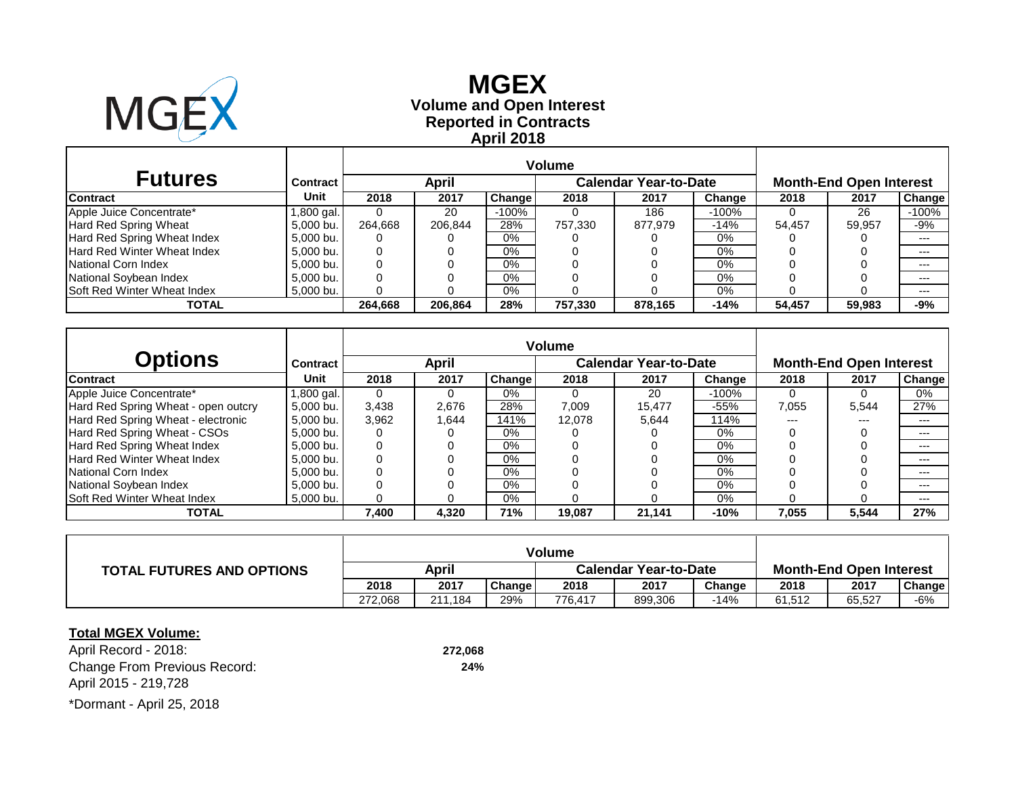

# **Reported in Contracts Volume and Open Interest MGEX April 2018**

| <b>Futures</b>                     | <b>Contract</b> |         | April   |         |         | <b>Calendar Year-to-Date</b> |        | <b>Month-End Open Interest</b> |        |         |
|------------------------------------|-----------------|---------|---------|---------|---------|------------------------------|--------|--------------------------------|--------|---------|
| <b>Contract</b>                    | Unit            | 2018    | 2017    | Change  | 2018    | 2017                         | Change | 2018                           | 2017   | Change  |
| Apple Juice Concentrate*           | .800 gal.       |         | 20      | $-100%$ |         | 186                          | -100%  |                                | 26     | $-100%$ |
| Hard Red Spring Wheat              | 5.000 bu.       | 264.668 | 206.844 | 28%     | 757.330 | 877.979                      | $-14%$ | 54.457                         | 59.957 | -9%     |
| Hard Red Spring Wheat Index        | 5.000 bu.       |         |         | $0\%$   |         |                              | 0%     |                                |        | ---     |
| Hard Red Winter Wheat Index        | 5.000 bu.       |         |         | $0\%$   |         |                              | 0%     |                                |        | ---     |
| National Corn Index                | 5.000 bu.       |         |         | $0\%$   |         |                              | 0%     |                                |        | ---     |
| National Soybean Index             | 5,000 bu.       |         |         | $0\%$   |         |                              | 0%     |                                |        | ---     |
| <b>Soft Red Winter Wheat Index</b> | 5,000 bu.       |         |         | $0\%$   |         |                              | 0%     |                                |        | $---$   |
| <b>TOTAL</b>                       |                 | 264.668 | 206.864 | 28%     | 757.330 | 878,165                      | $-14%$ | 54.457                         | 59.983 | -9%     |

|                                     |                 | <b>Volume</b> |       |        |        |                              |        |                                |       |        |  |
|-------------------------------------|-----------------|---------------|-------|--------|--------|------------------------------|--------|--------------------------------|-------|--------|--|
| <b>Options</b>                      | <b>Contract</b> |               | April |        |        | <b>Calendar Year-to-Date</b> |        | <b>Month-End Open Interest</b> |       |        |  |
| <b>Contract</b>                     | Unit            | 2018          | 2017  | Change | 2018   | 2017                         | Change | 2018                           | 2017  | Change |  |
| Apple Juice Concentrate*            | 1,800 gal.      |               |       | 0%     |        | 20                           | -100%  | 0                              | 0     | 0%     |  |
| Hard Red Spring Wheat - open outcry | 5.000 bu.       | 3,438         | 2,676 | 28%    | 7,009  | 15.477                       | $-55%$ | 7,055                          | 5,544 | 27%    |  |
| Hard Red Spring Wheat - electronic  | 5.000 bu.       | 3.962         | 1,644 | 141%   | 12.078 | 5.644                        | 114%   | ---                            |       | $---$  |  |
| Hard Red Spring Wheat - CSOs        | 5.000 bu.       |               |       | $0\%$  |        |                              | $0\%$  |                                |       | $---$  |  |
| Hard Red Spring Wheat Index         | 5.000 bu.       |               |       | $0\%$  |        |                              | $0\%$  |                                |       | $---$  |  |
| <b>Hard Red Winter Wheat Index</b>  | 5.000 bu.       |               |       | $0\%$  |        |                              | $0\%$  |                                |       | $---$  |  |
| National Corn Index                 | 5.000 bu.       |               |       | $0\%$  |        |                              | $0\%$  |                                |       | $---$  |  |
| National Soybean Index              | 5.000 bu.       |               |       | $0\%$  |        |                              | $0\%$  |                                |       | $---$  |  |
| <b>Soft Red Winter Wheat Index</b>  | 5,000 bu.       |               |       | $0\%$  |        |                              | $0\%$  |                                |       | $---$  |  |
| <b>TOTAL</b>                        |                 | 7,400         | 4,320 | 71%    | 19,087 | 21,141                       | $-10%$ | 7.055                          | 5,544 | 27%    |  |

| <b>TOTAL FUTURES AND OPTIONS</b> | April   |         |        | <b>Calendar Year-to-Date</b> |         |        | <b>Month-End Open Interest</b> |        |        |  |
|----------------------------------|---------|---------|--------|------------------------------|---------|--------|--------------------------------|--------|--------|--|
|                                  | 2018    | 2017    | Change | 2018                         | 2017    | Change | 2018                           | 2017   | Change |  |
|                                  | 272.068 | 211.184 | 29%    | 776.417                      | 899,306 | -14%   | 61.512                         | 65,527 | $-6%$  |  |

### **Total MGEX Volume:**

April Record - 2018: **272,068** Change From Previous Record: **24%** April 2015 - 219,728 \*Dormant - April 25, 2018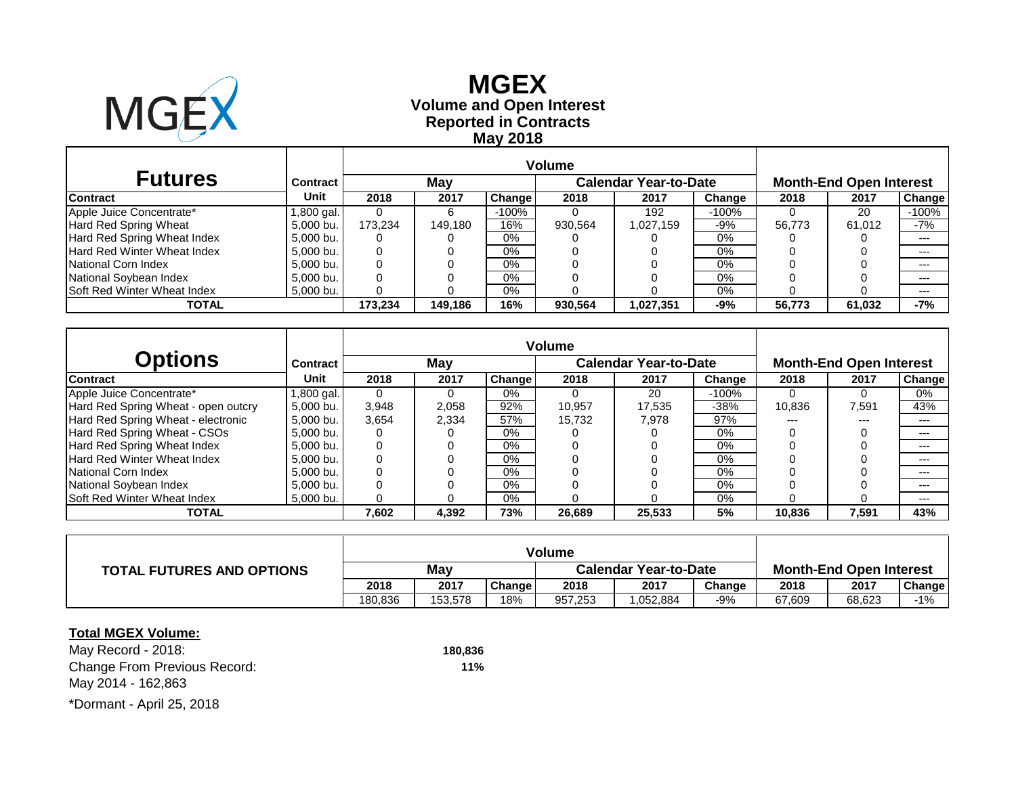

# **Reported in Contracts Volume and Open Interest MGEX May 2018**

| <b>Futures</b>                     | <b>Contract</b> |         | May     |         |         | <b>Calendar Year-to-Date</b> |        | <b>Month-End Open Interest</b> |        |         |  |
|------------------------------------|-----------------|---------|---------|---------|---------|------------------------------|--------|--------------------------------|--------|---------|--|
| <b>Contract</b>                    | Unit            | 2018    | 2017    | Change  | 2018    | 2017                         | Change | 2018                           | 2017   | Change  |  |
| Apple Juice Concentrate*           | .800 gal.       |         |         | $-100%$ |         | 192                          | -100%  |                                | 20     | $-100%$ |  |
| Hard Red Spring Wheat              | 5.000 bu.       | 173.234 | 149.180 | 16%     | 930.564 | 1,027,159                    | -9%    | 56.773                         | 61.012 | -7%     |  |
| Hard Red Spring Wheat Index        | 5.000 bu.       |         |         | $0\%$   |         |                              | 0%     |                                |        | ---     |  |
| Hard Red Winter Wheat Index        | 5.000 bu.       |         |         | $0\%$   |         |                              | 0%     |                                |        | ---     |  |
| National Corn Index                | 5.000 bu.       |         |         | $0\%$   |         |                              | 0%     |                                |        | ---     |  |
| National Soybean Index             | 5,000 bu.       |         |         | $0\%$   |         |                              | 0%     |                                |        | ---     |  |
| <b>Soft Red Winter Wheat Index</b> | 5,000 bu.       |         |         | $0\%$   |         |                              | 0%     |                                |        | $---$   |  |
| <b>TOTAL</b>                       |                 | 173.234 | 149.186 | 16%     | 930.564 | 1,027,351                    | -9%    | 56.773                         | 61,032 | -7%     |  |

|                                     |                 | <b>Volume</b> |       |        |        |                              |        |        |                                |               |
|-------------------------------------|-----------------|---------------|-------|--------|--------|------------------------------|--------|--------|--------------------------------|---------------|
| Options                             | <b>Contract</b> |               | May   |        |        | <b>Calendar Year-to-Date</b> |        |        | <b>Month-End Open Interest</b> |               |
| <b>Contract</b>                     | Unit            | 2018          | 2017  | Change | 2018   | 2017                         | Change | 2018   | 2017                           | <b>Change</b> |
| Apple Juice Concentrate*            | l,800 gal.      | 0             | 0     | $0\%$  |        | 20                           | -100%  |        | 0                              | 0%            |
| Hard Red Spring Wheat - open outcry | 5.000 bu.       | 3,948         | 2,058 | 92%    | 10.957 | 17.535                       | $-38%$ | 10,836 | 7,591                          | 43%           |
| Hard Red Spring Wheat - electronic  | 5.000 bu.       | 3,654         | 2,334 | 57%    | 15.732 | 7.978                        | 97%    | ---    | $---$                          | $---$         |
| Hard Red Spring Wheat - CSOs        | 5.000 bu.       |               |       | $0\%$  |        |                              | $0\%$  |        |                                | $---$         |
| Hard Red Spring Wheat Index         | 5.000 bu.       |               |       | 0%     |        |                              | 0%     |        |                                | $---$         |
| <b>Hard Red Winter Wheat Index</b>  | 5.000 bu.       |               |       | $0\%$  |        |                              | 0%     |        |                                | ---           |
| National Corn Index                 | 5.000 bu.       |               |       | $0\%$  |        |                              | 0%     |        |                                | $---$         |
| National Soybean Index              | 5.000 bu.       |               |       | 0%     |        |                              | $0\%$  |        |                                | ---           |
| <b>Soft Red Winter Wheat Index</b>  | 5.000 bu.       |               |       | $0\%$  |        |                              | 0%     |        |                                | $---$         |
| <b>TOTAL</b>                        |                 | 7,602         | 4,392 | 73%    | 26,689 | 25,533                       | 5%     | 10.836 | 7,591                          | 43%           |

| <b>TOTAL FUTURES AND OPTIONS</b> | May     |         |        | <b>Calendar Year-to-Date</b> |           |        | <b>Month-End Open Interest</b> |        |        |  |
|----------------------------------|---------|---------|--------|------------------------------|-----------|--------|--------------------------------|--------|--------|--|
|                                  | 2018    | 2017    | Change | 2018                         | 2017      | Change | 2018                           | 2017   | Change |  |
|                                  | 180.836 | 153.578 | 18%    | 957,253                      | 0.052.884 | -9%    | 67.609                         | 68,623 | $-1\%$ |  |

### **Total MGEX Volume:**

May Record - 2018: **180,836** Change From Previous Record: **11%** May 2014 - 162,863 \*Dormant - April 25, 2018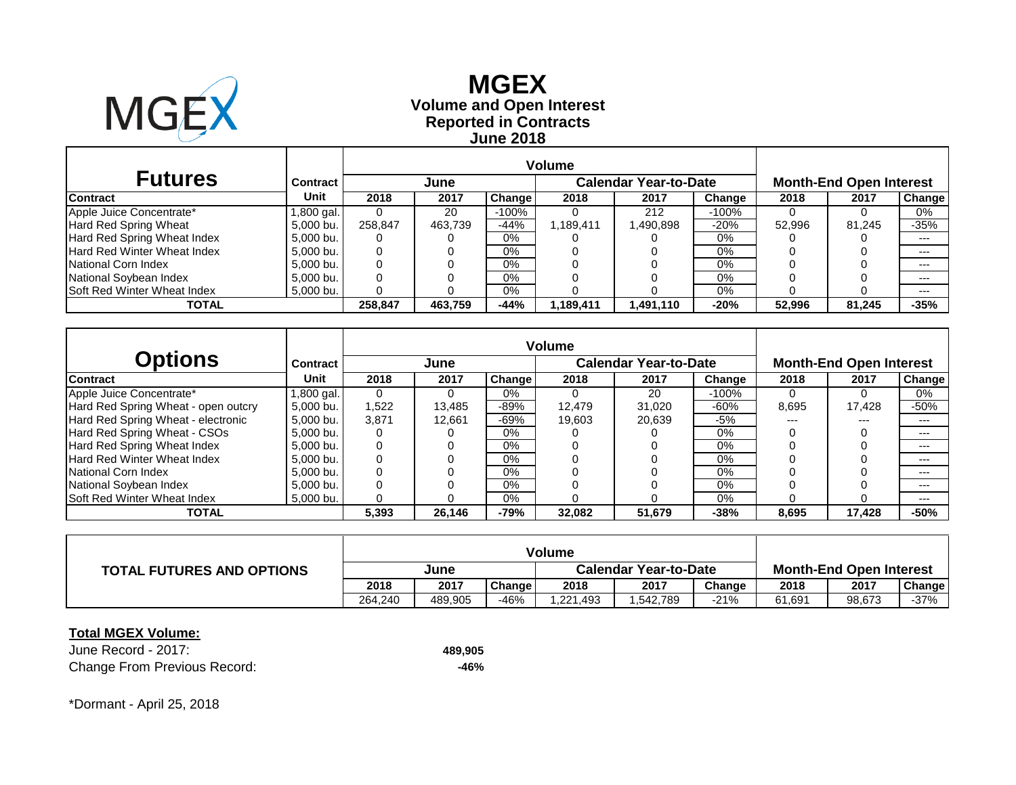

### **Reported in Contracts Volume and Open Interest MGEX June 2018**

| <b>Futures</b>                     | <b>Contract</b> | <b>Calendar Year-to-Date</b><br>June |         |         |           |          |        | <b>Month-End Open Interest</b> |        |        |  |
|------------------------------------|-----------------|--------------------------------------|---------|---------|-----------|----------|--------|--------------------------------|--------|--------|--|
| <b>Contract</b>                    | Unit            | 2018                                 | 2017    | Change  | 2018      | 2017     | Change | 2018                           | 2017   | Change |  |
| Apple Juice Concentrate*           | .800 gal.       |                                      | 20      | $-100%$ |           | 212      | -100%  |                                |        | 0%     |  |
| Hard Red Spring Wheat              | 5.000 bu.       | 258.847                              | 463.739 | $-44%$  | 1,189,411 | .490,898 | $-20%$ | 52.996                         | 81.245 | $-35%$ |  |
| Hard Red Spring Wheat Index        | 5.000 bu.       |                                      |         | $0\%$   |           |          | 0%     |                                |        | ---    |  |
| Hard Red Winter Wheat Index        | 5.000 bu.       |                                      |         | $0\%$   |           |          | 0%     |                                |        | ---    |  |
| National Corn Index                | 5.000 bu.       |                                      |         | $0\%$   |           |          | 0%     |                                |        | ---    |  |
| National Soybean Index             | 5,000 bu.       |                                      |         | $0\%$   |           |          | 0%     |                                |        | ---    |  |
| <b>Soft Red Winter Wheat Index</b> | 5,000 bu.       |                                      |         | $0\%$   |           |          | 0%     |                                |        | ---    |  |
| <b>TOTAL</b>                       |                 | 258.847                              | 463.759 | $-44%$  | 1,189,411 | .491.110 | $-20%$ | 52.996                         | 81.245 | $-35%$ |  |

|                                     |                 | <b>Volume</b> |        |         |        |                              |        |                                |        |               |  |
|-------------------------------------|-----------------|---------------|--------|---------|--------|------------------------------|--------|--------------------------------|--------|---------------|--|
| Options                             | <b>Contract</b> |               | June   |         |        | <b>Calendar Year-to-Date</b> |        | <b>Month-End Open Interest</b> |        |               |  |
| <b>Contract</b>                     | Unit            | 2018          | 2017   | Changel | 2018   | 2017                         | Change | 2018                           | 2017   | <b>Change</b> |  |
| Apple Juice Concentrate*            | l,800 gal.      | 0             | 0      | $0\%$   |        | 20                           | -100%  | $\Omega$                       | 0      | 0%            |  |
| Hard Red Spring Wheat - open outcry | 5.000 bu.       | 1.522         | 13,485 | $-89%$  | 12.479 | 31.020                       | $-60%$ | 8,695                          | 17.428 | -50%          |  |
| Hard Red Spring Wheat - electronic  | 5,000 bu.       | 3,871         | 12.661 | $-69%$  | 19.603 | 20.639                       | -5%    | ---                            | $---$  | $---$         |  |
| Hard Red Spring Wheat - CSOs        | 5.000 bu.       |               |        | $0\%$   |        |                              | $0\%$  |                                |        | $---$         |  |
| Hard Red Spring Wheat Index         | 5.000 bu.       |               |        | $0\%$   |        |                              | 0%     |                                |        | $---$         |  |
| <b>Hard Red Winter Wheat Index</b>  | 5.000 bu.       |               |        | $0\%$   |        |                              | 0%     |                                |        | ---           |  |
| National Corn Index                 | 5.000 bu.       |               |        | $0\%$   |        |                              | 0%     |                                |        | $---$         |  |
| National Soybean Index              | 5.000 bu.       |               |        | 0%      |        |                              | $0\%$  |                                |        | ---           |  |
| <b>Soft Red Winter Wheat Index</b>  | 5.000 bu.       |               |        | $0\%$   |        |                              | 0%     |                                |        | $---$         |  |
| <b>TOTAL</b>                        |                 | 5,393         | 26,146 | $-79%$  | 32,082 | 51,679                       | $-38%$ | 8,695                          | 17,428 | -50%          |  |

| <b>TOTAL FUTURES AND OPTIONS</b> | June    |         |        | <b>Calendar Year-to-Date</b> |          |        | <b>Month-End Open Interest</b> |        |        |  |
|----------------------------------|---------|---------|--------|------------------------------|----------|--------|--------------------------------|--------|--------|--|
|                                  | 2018    | 2017    | Change | 2018                         | 2017     | Change | 2018                           | 2017   | Change |  |
|                                  | 264.240 | 489.905 | $-46%$ | .221,493                     | .542,789 | -21%   | 61,691                         | 98,673 | -37%   |  |

### **Total MGEX Volume:**

June Record - 2017: **489,905** Change From Previous Record: **-46%**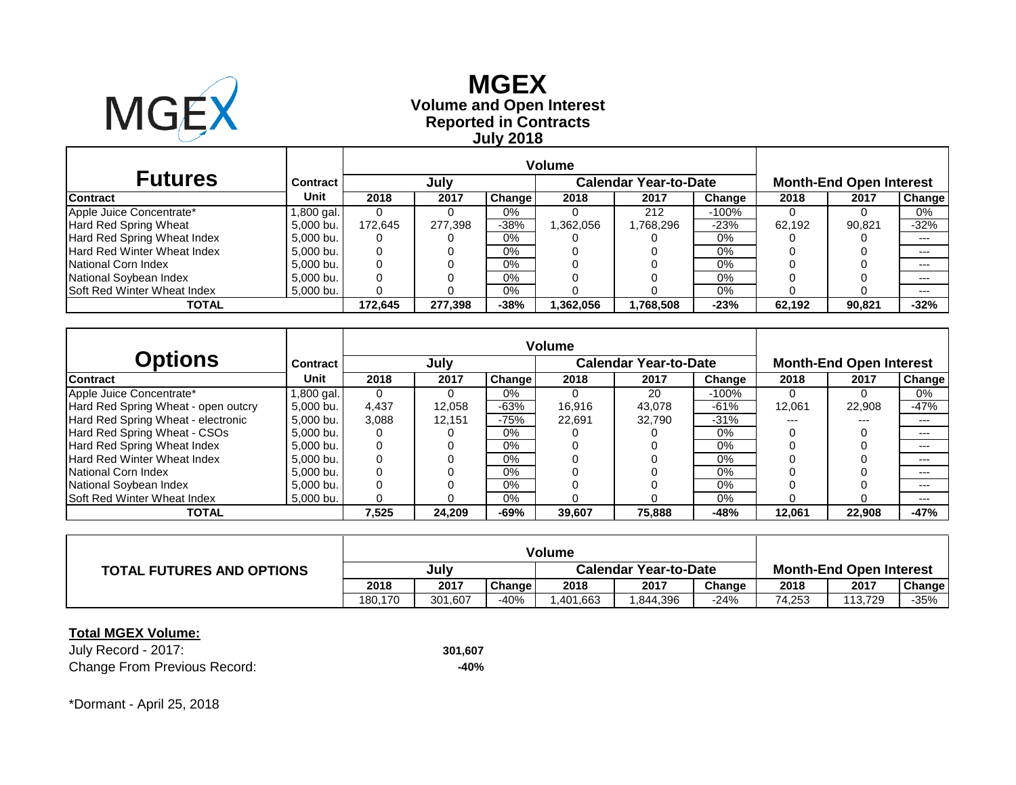

# **Reported in Contracts Volume and Open Interest MGEX July 2018**

| <b>Futures</b>                     | Contract  |         | July<br><b>Calendar Year-to-Date</b> |        |          |           |        | <b>Month-End Open Interest</b> |        |        |
|------------------------------------|-----------|---------|--------------------------------------|--------|----------|-----------|--------|--------------------------------|--------|--------|
| <b>Contract</b>                    | Unit      | 2018    | 2017                                 | Change | 2018     | 2017      | Change | 2018                           | 2017   | Change |
| Apple Juice Concentrate*           | .800 gal. |         |                                      | 0%     |          | 212       | -100%  |                                |        | 0%     |
| Hard Red Spring Wheat              | 5.000 bu. | 172.645 | 277.398                              | $-38%$ | 362,056, | 768,296.  | $-23%$ | 62.192                         | 90.821 | $-32%$ |
| Hard Red Spring Wheat Index        | 5.000 bu. |         |                                      | 0%     |          |           | 0%     |                                |        | ---    |
| Hard Red Winter Wheat Index        | 5.000 bu. |         |                                      | $0\%$  |          |           | 0%     |                                |        | ---    |
| National Corn Index                | 5.000 bu. |         |                                      | $0\%$  |          |           | $0\%$  |                                |        | ---    |
| National Soybean Index             | 5.000 bu. |         |                                      | $0\%$  |          |           | 0%     |                                |        | ---    |
| <b>Soft Red Winter Wheat Index</b> | 5,000 bu. |         |                                      | $0\%$  |          |           | 0%     |                                |        | $---$  |
| TOTAL                              |           | 172.645 | 277.398                              | $-38%$ | .362.056 | 1,768,508 | $-23%$ | 62.192                         | 90.821 | $-32%$ |

|                                     |                 | <b>Volume</b> |        |        |        |                              |        |                                |        |               |  |
|-------------------------------------|-----------------|---------------|--------|--------|--------|------------------------------|--------|--------------------------------|--------|---------------|--|
| Options                             | <b>Contract</b> |               | July   |        |        | <b>Calendar Year-to-Date</b> |        | <b>Month-End Open Interest</b> |        |               |  |
| <b>Contract</b>                     | Unit            | 2018          | 2017   | Change | 2018   | 2017                         | Change | 2018                           | 2017   | <b>Change</b> |  |
| Apple Juice Concentrate*            | l,800 gal.      | 0             | 0      | $0\%$  |        | 20                           | -100%  |                                | 0      | 0%            |  |
| Hard Red Spring Wheat - open outcry | 5.000 bu.       | 4,437         | 12,058 | $-63%$ | 16.916 | 43.078                       | $-61%$ | 12.061                         | 22,908 | $-47%$        |  |
| Hard Red Spring Wheat - electronic  | 5.000 bu.       | 3,088         | 12.151 | $-75%$ | 22.691 | 32.790                       | $-31%$ | ---                            | $---$  | $---$         |  |
| Hard Red Spring Wheat - CSOs        | 5.000 bu.       |               |        | $0\%$  |        |                              | $0\%$  |                                |        | $---$         |  |
| Hard Red Spring Wheat Index         | 5.000 bu.       |               |        | 0%     |        |                              | 0%     |                                |        | $---$         |  |
| <b>Hard Red Winter Wheat Index</b>  | 5.000 bu.       |               |        | $0\%$  |        |                              | 0%     |                                |        | ---           |  |
| National Corn Index                 | 5.000 bu.       |               |        | $0\%$  |        |                              | 0%     |                                |        | $---$         |  |
| National Soybean Index              | 5.000 bu.       |               |        | 0%     |        |                              | $0\%$  |                                |        | ---           |  |
| <b>Soft Red Winter Wheat Index</b>  | 5.000 bu.       |               |        | $0\%$  |        |                              | 0%     |                                |        | $---$         |  |
| <b>TOTAL</b>                        |                 | 7,525         | 24,209 | $-69%$ | 39,607 | 75,888                       | $-48%$ | 12,061                         | 22,908 | $-47%$        |  |

| <b>TOTAL FUTURES AND OPTIONS</b> | July    |         |        | <b>Calendar Year-to-Date</b> |          |        | <b>Month-End Open Interest</b> |         |        |  |
|----------------------------------|---------|---------|--------|------------------------------|----------|--------|--------------------------------|---------|--------|--|
|                                  | 2018    | 2017    | Change | 2018                         | 2017     | Change | 2018                           | 2017    | Change |  |
|                                  | 180.170 | 301.607 | $-40%$ | ,401,663                     | .844,396 | $-24%$ | 74.253                         | 113.729 | -35%   |  |

### **Total MGEX Volume:**

July Record - 2017: **301,607** Change From Previous Record: **-40%**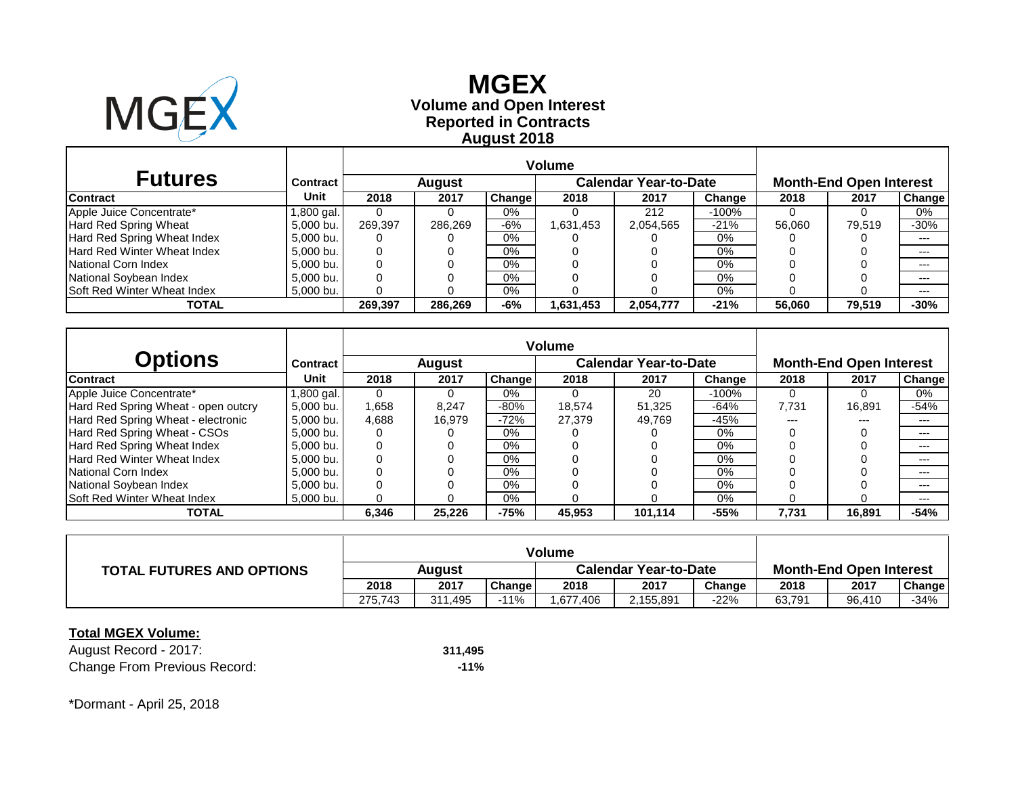

# **Reported in Contracts Volume and Open Interest MGEX August 2018**

| <b>Futures</b>                     | <b>Contract</b> |         | August  |        |          | <b>Calendar Year-to-Date</b> | <b>Month-End Open Interest</b> |        |        |               |
|------------------------------------|-----------------|---------|---------|--------|----------|------------------------------|--------------------------------|--------|--------|---------------|
| <b>Contract</b>                    | Unit            | 2018    | 2017    | Change | 2018     | 2017                         | Change                         | 2018   | 2017   | <b>Change</b> |
| Apple Juice Concentrate*           | .800 gal.       |         |         | 0%     |          | 212                          | -100%                          |        |        | 0%            |
| Hard Red Spring Wheat              | 5.000 bu.       | 269.397 | 286.269 | $-6%$  | .631,453 | 2,054,565                    | $-21%$                         | 56.060 | 79.519 | $-30%$        |
| Hard Red Spring Wheat Index        | 5,000 bu.       | 0       |         | $0\%$  |          |                              | 0%                             |        |        | ---           |
| Hard Red Winter Wheat Index        | 5,000 bu.       |         |         | 0%     |          |                              | $0\%$                          |        |        | $---$         |
| National Corn Index                | 5.000 bu.       |         |         | $0\%$  |          |                              | $0\%$                          |        |        | ---           |
| National Soybean Index             | 5.000 bu.       |         |         | $0\%$  |          |                              | $0\%$                          |        |        | $---$         |
| <b>Soft Red Winter Wheat Index</b> | 5,000 bu.       |         |         | $0\%$  |          |                              | 0%                             |        |        | $- - -$       |
| TOTAL                              |                 | 269.397 | 286,269 | -6%    | .631,453 | 2,054,777                    | $-21%$                         | 56.060 | 79.519 | $-30%$        |

|                                     |                 | <b>Volume</b> |        |        |        |                              |        |                                |        |               |  |
|-------------------------------------|-----------------|---------------|--------|--------|--------|------------------------------|--------|--------------------------------|--------|---------------|--|
| Options                             | <b>Contract</b> |               | August |        |        | <b>Calendar Year-to-Date</b> |        | <b>Month-End Open Interest</b> |        |               |  |
| <b>Contract</b>                     | Unit            | 2018          | 2017   | Change | 2018   | 2017                         | Change | 2018                           | 2017   | <b>Change</b> |  |
| Apple Juice Concentrate*            | l,800 gal.      | 0             | 0      | $0\%$  |        | 20                           | -100%  | $\Omega$                       | 0      | 0%            |  |
| Hard Red Spring Wheat - open outcry | 5.000 bu.       | 1.658         | 8.247  | $-80%$ | 18.574 | 51.325                       | $-64%$ | 7.731                          | 16.891 | $-54%$        |  |
| Hard Red Spring Wheat - electronic  | 5,000 bu.       | 4.688         | 16.979 | $-72%$ | 27.379 | 49.769                       | $-45%$ | ---                            | $---$  | $---$         |  |
| Hard Red Spring Wheat - CSOs        | 5.000 bu.       |               |        | $0\%$  |        |                              | $0\%$  |                                |        | $---$         |  |
| Hard Red Spring Wheat Index         | 5.000 bu.       |               |        | $0\%$  |        |                              | 0%     |                                |        | $---$         |  |
| <b>Hard Red Winter Wheat Index</b>  | 5.000 bu.       |               |        | $0\%$  |        |                              | 0%     |                                |        | ---           |  |
| National Corn Index                 | 5.000 bu.       |               |        | $0\%$  |        |                              | 0%     |                                |        | $---$         |  |
| National Soybean Index              | 5.000 bu.       |               |        | 0%     |        |                              | $0\%$  |                                |        | ---           |  |
| <b>Soft Red Winter Wheat Index</b>  | 5.000 bu.       |               |        | $0\%$  |        |                              | 0%     |                                |        | $---$         |  |
| <b>TOTAL</b>                        |                 | 6,346         | 25,226 | $-75%$ | 45,953 | 101.114                      | $-55%$ | 7.731                          | 16,891 | $-54%$        |  |

| <b>TOTAL FUTURES AND OPTIONS</b> | Auaust  |         |               | <b>Calendar Year-to-Date</b> |           |        | <b>Month-End Open Interest</b> |        |        |  |
|----------------------------------|---------|---------|---------------|------------------------------|-----------|--------|--------------------------------|--------|--------|--|
|                                  | 2018    | 2017    | <b>Change</b> | 2018                         | 2017      | Change | 2018                           | 2017   | Change |  |
|                                  | 275.743 | 311,495 | 11%           | ,677,406                     | 2,155,891 | -22%   | 63,791                         | 96,410 | -34%   |  |

#### **Total MGEX Volume:**

August Record - 2017: **311,495** Change From Previous Record: **-11%**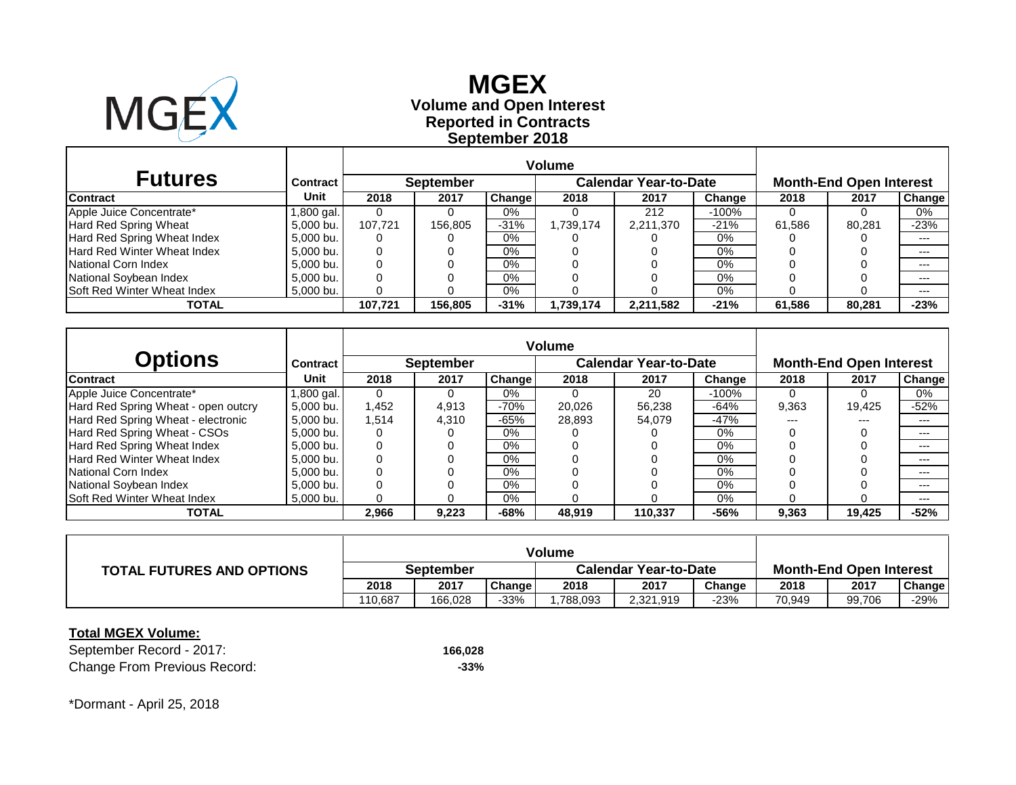

# **Reported in Contracts Volume and Open Interest MGEX September 2018**

| <b>Futures</b>                     | <b>Contract</b> |         | <b>September</b> |               |           | <b>Calendar Year-to-Date</b> |        | <b>Month-End Open Interest</b> |        |               |  |
|------------------------------------|-----------------|---------|------------------|---------------|-----------|------------------------------|--------|--------------------------------|--------|---------------|--|
| <b>Contract</b>                    | Unit            | 2018    | 2017             | <b>Change</b> | 2018      | 2017                         | Change | 2018                           | 2017   | <b>Change</b> |  |
| Apple Juice Concentrate*           | .800 gal.       |         |                  | 0%            |           | 212                          | -100%  |                                |        | 0%            |  |
| Hard Red Spring Wheat              | 5.000 bu.       | 107.721 | 156,805          | $-31%$        | 1739,174. | 2,211,370                    | $-21%$ | 61,586                         | 80.281 | $-23%$        |  |
| Hard Red Spring Wheat Index        | 5.000 bu.       | 0       |                  | $0\%$         |           |                              | 0%     |                                |        | ---           |  |
| Hard Red Winter Wheat Index        | 5.000 bu.       | 0       |                  | $0\%$         |           |                              | 0%     |                                |        | $- - -$       |  |
| National Corn Index                | 5.000 bu.       |         |                  | 0%            |           |                              | $0\%$  |                                |        |               |  |
| National Soybean Index             | 5.000 bu.       |         |                  | $0\%$         |           |                              | $0\%$  |                                |        | $- - -$       |  |
| <b>Soft Red Winter Wheat Index</b> | 5,000 bu.       |         |                  | $0\%$         |           |                              | 0%     |                                |        | $---$         |  |
| TOTAL                              |                 | 107.721 | 156.805          | $-31%$        | 1.739.174 | 2,211,582                    | $-21%$ | 61.586                         | 80.281 | $-23%$        |  |

|                                     |                 | <b>Volume</b> |                  |        |        |                              |        |                                |        |               |  |
|-------------------------------------|-----------------|---------------|------------------|--------|--------|------------------------------|--------|--------------------------------|--------|---------------|--|
| Options                             | <b>Contract</b> |               | <b>September</b> |        |        | <b>Calendar Year-to-Date</b> |        | <b>Month-End Open Interest</b> |        |               |  |
| <b>Contract</b>                     | Unit            | 2018          | 2017             | Change | 2018   | 2017                         | Change | 2018                           | 2017   | <b>Change</b> |  |
| Apple Juice Concentrate*            | l,800 gal.      | 0             | 0                | $0\%$  |        | 20                           | -100%  | $\Omega$                       | 0      | 0%            |  |
| Hard Red Spring Wheat - open outcry | 5.000 bu.       | 1.452         | 4,913            | $-70%$ | 20.026 | 56.238                       | $-64%$ | 9,363                          | 19.425 | $-52%$        |  |
| Hard Red Spring Wheat - electronic  | 5.000 bu.       | 1.514         | 4,310            | $-65%$ | 28.893 | 54.079                       | $-47%$ | ---                            | $---$  | $---$         |  |
| Hard Red Spring Wheat - CSOs        | 5.000 bu.       |               |                  | $0\%$  |        |                              | $0\%$  |                                |        | $---$         |  |
| Hard Red Spring Wheat Index         | 5.000 bu.       |               |                  | $0\%$  |        |                              | 0%     |                                |        | $---$         |  |
| <b>Hard Red Winter Wheat Index</b>  | 5.000 bu.       |               |                  | $0\%$  |        |                              | 0%     |                                |        | ---           |  |
| National Corn Index                 | 5.000 bu.       |               |                  | $0\%$  |        |                              | 0%     |                                |        | $---$         |  |
| National Soybean Index              | 5.000 bu.       |               |                  | 0%     |        |                              | $0\%$  |                                |        | ---           |  |
| <b>Soft Red Winter Wheat Index</b>  | 5.000 bu.       |               |                  | $0\%$  |        |                              | 0%     |                                |        | $---$         |  |
| <b>TOTAL</b>                        |                 | 2,966         | 9,223            | $-68%$ | 48,919 | 110.337                      | $-56%$ | 9,363                          | 19,425 | $-52%$        |  |

| <b>TOTAL FUTURES AND OPTIONS</b> | September |         |        | <b>Calendar Year-to-Date</b> |           |        | <b>Month-End Open Interest</b> |        |        |  |
|----------------------------------|-----------|---------|--------|------------------------------|-----------|--------|--------------------------------|--------|--------|--|
|                                  | 2018      | 2017    | Change | 2018                         | 2017      | Change | 2018                           | 2017   | Change |  |
|                                  | 110.687   | 166.028 | -33%   | .788,093                     | 2,321,919 | -23%   | 70.949                         | 99,706 | $-29%$ |  |

### **Total MGEX Volume:**

September Record - 2017: **166,028** Change From Previous Record: **-33%**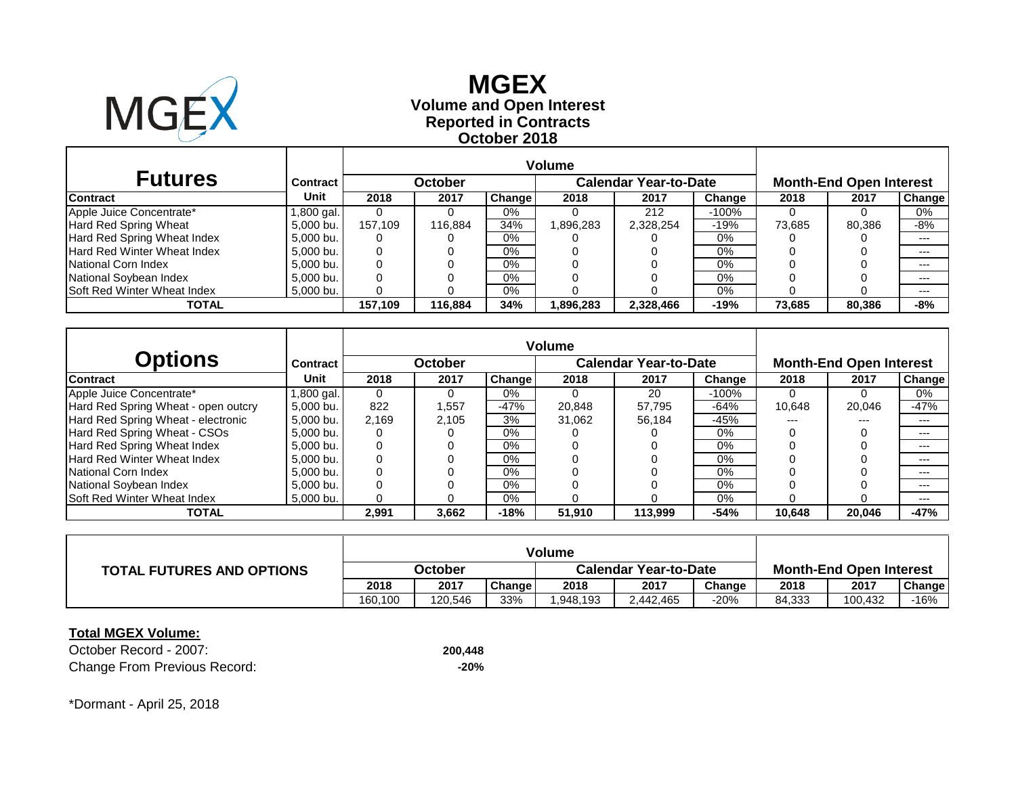

# **Reported in Contracts Volume and Open Interest MGEX October 2018**

| <b>Futures</b>                     | Contract  | October |         |        |          | <b>Calendar Year-to-Date</b> | <b>Month-End Open Interest</b> |        |        |               |
|------------------------------------|-----------|---------|---------|--------|----------|------------------------------|--------------------------------|--------|--------|---------------|
| <b>Contract</b>                    | Unit      | 2018    | 2017    | Change | 2018     | 2017                         | Change                         | 2018   | 2017   | <b>Change</b> |
| Apple Juice Concentrate*           | .800 gal. |         |         | 0%     |          | 212                          | -100%                          |        |        | 0%            |
| Hard Red Spring Wheat              | 5.000 bu. | 157.109 | 116.884 | 34%    | .896,283 | 2,328,254                    | $-19%$                         | 73.685 | 80.386 | -8%           |
| Hard Red Spring Wheat Index        | 5.000 bu. |         |         | 0%     |          |                              | 0%                             |        |        | ---           |
| Hard Red Winter Wheat Index        | 5.000 bu. |         |         | $0\%$  |          |                              | 0%                             |        |        | $---$         |
| National Corn Index                | 5.000 bu. |         |         | $0\%$  |          |                              | $0\%$                          |        |        | $---$         |
| National Soybean Index             | 5,000 bu. |         |         | $0\%$  |          |                              | 0%                             |        |        | $---$         |
| <b>Soft Red Winter Wheat Index</b> | 5,000 bu. |         |         | $0\%$  |          |                              | $0\%$                          |        |        | $---$         |
| TOTAL                              |           | 157.109 | 116.884 | 34%    | .896,283 | 2,328,466                    | $-19%$                         | 73.685 | 80.386 | -8%           |

|                                     |                 | <b>Volume</b> |         |               |        |                              |        |        |                                |               |
|-------------------------------------|-----------------|---------------|---------|---------------|--------|------------------------------|--------|--------|--------------------------------|---------------|
| Options                             | <b>Contract</b> |               | October |               |        | <b>Calendar Year-to-Date</b> |        |        | <b>Month-End Open Interest</b> |               |
| <b>Contract</b>                     | Unit            | 2018          | 2017    | <b>Change</b> | 2018   | 2017                         | Change | 2018   | 2017                           | <b>Change</b> |
| Apple Juice Concentrate*            | l,800 gal.      | 0             | 0       | 0%            |        | 20                           | -100%  |        | 0                              | 0%            |
| Hard Red Spring Wheat - open outcry | 5.000 bu.       | 822           | 1,557   | $-47%$        | 20.848 | 57.795                       | $-64%$ | 10.648 | 20.046                         | $-47%$        |
| Hard Red Spring Wheat - electronic  | 5.000 bu.       | 2.169         | 2.105   | 3%            | 31.062 | 56.184                       | $-45%$ | ---    | $---$                          | $---$         |
| Hard Red Spring Wheat - CSOs        | 5.000 bu.       |               |         | $0\%$         |        |                              | $0\%$  |        |                                | $---$         |
| Hard Red Spring Wheat Index         | 5,000 bu.       | 0             |         | 0%            |        |                              | 0%     |        |                                | $---$         |
| Hard Red Winter Wheat Index         | 5.000 bu.       |               |         | $0\%$         |        |                              | 0%     |        |                                | $---$         |
| National Corn Index                 | 5.000 bu.       |               |         | $0\%$         |        |                              | 0%     |        |                                | $---$         |
| National Soybean Index              | 5.000 bu.       |               |         | $0\%$         |        |                              | $0\%$  |        |                                | $---$         |
| <b>Soft Red Winter Wheat Index</b>  | 5,000 bu.       |               |         | $0\%$         |        |                              | 0%     |        |                                | $---$         |
| <b>TOTAL</b>                        |                 | 2,991         | 3,662   | $-18%$        | 51,910 | 113.999                      | $-54%$ | 10,648 | 20,046                         | $-47%$        |

| <b>TOTAL FUTURES AND OPTIONS</b> | October |         |        | <b>Calendar Year-to-Date</b> |           |        | <b>Month-End Open Interest</b> |         |        |  |
|----------------------------------|---------|---------|--------|------------------------------|-----------|--------|--------------------------------|---------|--------|--|
|                                  | 2018    | 2017    | Change | 2018                         | 2017      | Change | 2018                           | 2017    | Change |  |
|                                  | 160.100 | 120.546 | 33%    | 1.948.193                    | 2.442.465 | -20%   | 84,333                         | 100.432 | -16%   |  |

#### **Total MGEX Volume:**

October Record - 2007: **200,448** Change From Previous Record: **-20%**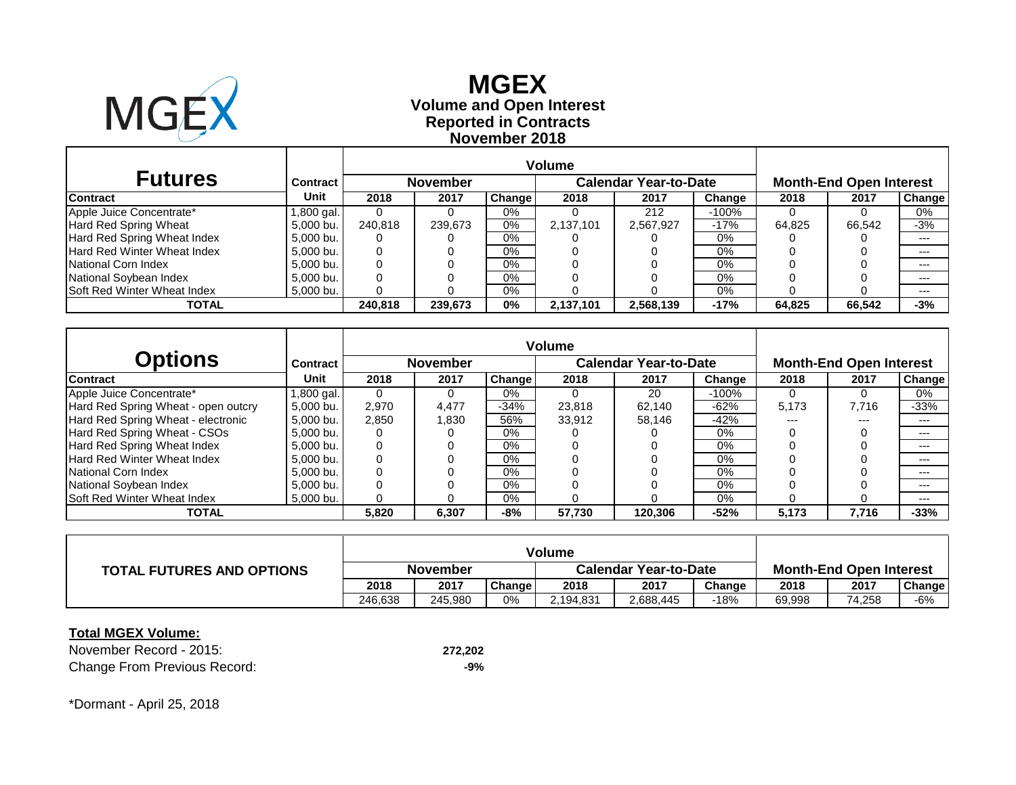

# **Reported in Contracts Volume and Open Interest MGEX November 2018**

| <b>Futures</b>                     | <b>Contract</b> |         | <b>November</b> |               |           | <b>Calendar Year-to-Date</b> |        | <b>Month-End Open Interest</b> |        |               |  |
|------------------------------------|-----------------|---------|-----------------|---------------|-----------|------------------------------|--------|--------------------------------|--------|---------------|--|
| <b>Contract</b>                    | Unit            | 2018    | 2017            | <b>Change</b> | 2018      | 2017                         | Change | 2018                           | 2017   | <b>Change</b> |  |
| Apple Juice Concentrate*           | .800 gal.       |         |                 | 0%            |           | 212                          | -100%  |                                |        | 0%            |  |
| Hard Red Spring Wheat              | 5.000 bu.       | 240.818 | 239.673         | $0\%$         | 2,137,101 | 2,567,927                    | $-17%$ | 64.825                         | 66.542 | $-3%$         |  |
| Hard Red Spring Wheat Index        | 5,000 bu.       | 0       |                 | $0\%$         |           |                              | 0%     |                                |        | $---$         |  |
| Hard Red Winter Wheat Index        | 5,000 bu.       |         |                 | 0%            |           |                              | $0\%$  |                                |        | $---$         |  |
| National Corn Index                | 5.000 bu.       |         |                 | $0\%$         |           |                              | $0\%$  |                                |        |               |  |
| National Soybean Index             | 5.000 bu.       |         |                 | $0\%$         |           |                              | $0\%$  |                                |        | $---$         |  |
| <b>Soft Red Winter Wheat Index</b> | 5,000 bu.       |         |                 | $0\%$         |           |                              | 0%     |                                |        | $- - -$       |  |
| TOTAL                              |                 | 240.818 | 239.673         | $0\%$         | 2,137,101 | 2,568,139                    | $-17%$ | 64.825                         | 66.542 | $-3%$         |  |

| Options                             | <b>Contract</b> |       | <b>November</b> |               |        | <b>Calendar Year-to-Date</b> |        | <b>Month-End Open Interest</b> |       |               |  |
|-------------------------------------|-----------------|-------|-----------------|---------------|--------|------------------------------|--------|--------------------------------|-------|---------------|--|
| <b>Contract</b>                     | Unit            | 2018  | 2017            | <b>Change</b> | 2018   | 2017                         | Change | 2018                           | 2017  | <b>Change</b> |  |
| Apple Juice Concentrate*            | .800 gal.       | 0     | 0               | $0\%$         |        | 20                           | -100%  | $\Omega$                       | 0     | 0%            |  |
| Hard Red Spring Wheat - open outcry | 5.000 bu.       | 2,970 | 4,477           | -34%          | 23.818 | 62.140                       | -62%   | 5,173                          | 7.716 | $-33%$        |  |
| Hard Red Spring Wheat - electronic  | 5.000 bu.       | 2,850 | 830. ا          | 56%           | 33.912 | 58.146                       | $-42%$ | ---                            | $---$ | $---$         |  |
| Hard Red Spring Wheat - CSOs        | 5.000 bu.       |       |                 | $0\%$         |        |                              | $0\%$  |                                |       | $---$         |  |
| Hard Red Spring Wheat Index         | 5.000 bu.       |       |                 | $0\%$         |        |                              | $0\%$  |                                |       | $---$         |  |
| <b>Hard Red Winter Wheat Index</b>  | 5.000 bu.       |       |                 | $0\%$         |        |                              | 0%     |                                |       | ---           |  |
| National Corn Index                 | 5.000 bu.       |       |                 | 0%            |        |                              | $0\%$  |                                |       | $---$         |  |
| National Sovbean Index              | 5.000 bu.       |       |                 | $0\%$         |        |                              | $0\%$  |                                |       | ---           |  |
| <b>Soft Red Winter Wheat Index</b>  | 5.000 bu.       |       |                 | $0\%$         |        |                              | 0%     |                                |       | $---$         |  |
| <b>TOTAL</b>                        |                 | 5,820 | 6,307           | -8%           | 57,730 | 120,306                      | $-52%$ | 5.173                          | 7,716 | $-33%$        |  |

| <b>TOTAL FUTURES AND OPTIONS</b> | November |         |        | <b>Calendar Year-to-Date</b> |           |        | <b>Month-End Open Interest</b> |        |        |  |
|----------------------------------|----------|---------|--------|------------------------------|-----------|--------|--------------------------------|--------|--------|--|
|                                  | 2018     | 2017    | Change | 2018                         | 2017      | Change | 2018                           | 2017   | Change |  |
|                                  | 246.638  | 245.980 | 0%     | 2.194.831                    | 2,688,445 | -18%   | 69.998                         | 74,258 | -6%    |  |

#### **Total MGEX Volume:**

November Record - 2015: **272,202** Change From Previous Record: **-9%**